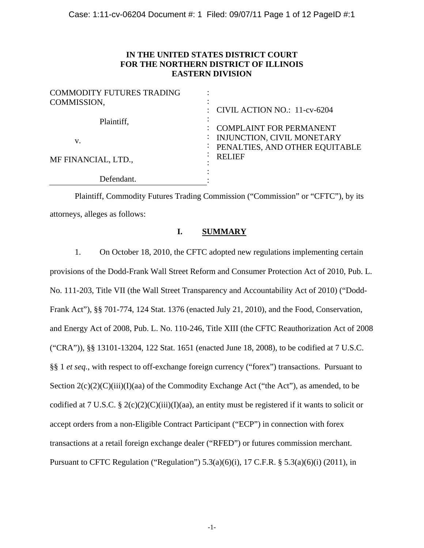# **IN THE UNITED STATES DISTRICT COURT FOR THE NORTHERN DISTRICT OF ILLINOIS EASTERN DIVISION**

| <b>COMMODITY FUTURES TRADING</b> |                                                                                                  |
|----------------------------------|--------------------------------------------------------------------------------------------------|
| COMMISSION,                      | : CIVIL ACTION NO.: $11$ -cv-6204                                                                |
| Plaintiff,<br>V.                 | <b>COMPLAINT FOR PERMANENT</b><br>: INJUNCTION, CIVIL MONETARY<br>PENALTIES, AND OTHER EQUITABLE |
| MF FINANCIAL, LTD.,              | <b>RELIEF</b>                                                                                    |
| Defendant.                       |                                                                                                  |

Plaintiff, Commodity Futures Trading Commission ("Commission" or "CFTC"), by its attorneys, alleges as follows:

# **I. SUMMARY**

1. On October 18, 2010, the CFTC adopted new regulations implementing certain provisions of the Dodd-Frank Wall Street Reform and Consumer Protection Act of 2010, Pub. L. No. 111-203, Title VII (the Wall Street Transparency and Accountability Act of 2010) ("Dodd-Frank Act"), §§ 701-774, 124 Stat. 1376 (enacted July 21, 2010), and the Food, Conservation, and Energy Act of 2008, Pub. L. No. 110-246, Title XIII (the CFTC Reauthorization Act of 2008 ("CRA")), §§ 13101-13204, 122 Stat. 1651 (enacted June 18, 2008), to be codified at 7 U.S.C. §§ 1 *et seq.*, with respect to off-exchange foreign currency ("forex") transactions. Pursuant to Section  $2(c)(2)(C)(iii)(I)(aa)$  of the Commodity Exchange Act ("the Act"), as amended, to be codified at 7 U.S.C. § 2(c)(2)(C)(iii)(I)(aa), an entity must be registered if it wants to solicit or accept orders from a non-Eligible Contract Participant ("ECP") in connection with forex transactions at a retail foreign exchange dealer ("RFED") or futures commission merchant. Pursuant to CFTC Regulation ("Regulation")  $5.3(a)(6)(i)$ ,  $17$  C.F.R. §  $5.3(a)(6)(i)$  (2011), in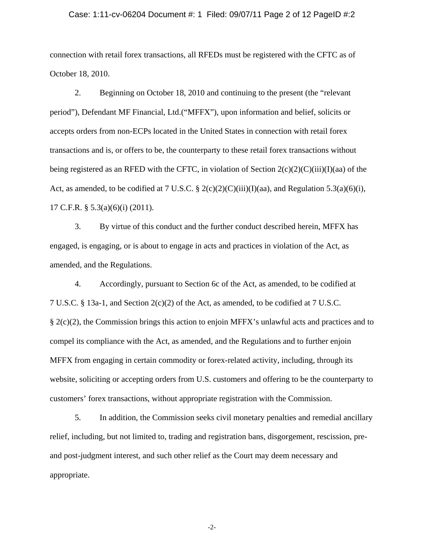### Case: 1:11-cv-06204 Document #: 1 Filed: 09/07/11 Page 2 of 12 PageID #:2

connection with retail forex transactions, all RFEDs must be registered with the CFTC as of October 18, 2010.

2. Beginning on October 18, 2010 and continuing to the present (the "relevant period"), Defendant MF Financial, Ltd.("MFFX"), upon information and belief, solicits or accepts orders from non-ECPs located in the United States in connection with retail forex transactions and is, or offers to be, the counterparty to these retail forex transactions without being registered as an RFED with the CFTC, in violation of Section  $2(c)(2)(C)(iii)(I)(aa)$  of the Act, as amended, to be codified at 7 U.S.C. § 2(c)(2)(C)(iii)(I)(aa), and Regulation 5.3(a)(6)(i), 17 C.F.R. § 5.3(a)(6)(i) (2011).

3. By virtue of this conduct and the further conduct described herein, MFFX has engaged, is engaging, or is about to engage in acts and practices in violation of the Act, as amended, and the Regulations.

4. Accordingly, pursuant to Section 6c of the Act, as amended, to be codified at 7 U.S.C. § 13a-1, and Section 2(c)(2) of the Act, as amended, to be codified at 7 U.S.C. § 2(c)(2), the Commission brings this action to enjoin MFFX's unlawful acts and practices and to compel its compliance with the Act, as amended, and the Regulations and to further enjoin MFFX from engaging in certain commodity or forex-related activity, including, through its website, soliciting or accepting orders from U.S. customers and offering to be the counterparty to customers' forex transactions, without appropriate registration with the Commission.

5. In addition, the Commission seeks civil monetary penalties and remedial ancillary relief, including, but not limited to, trading and registration bans, disgorgement, rescission, preand post-judgment interest, and such other relief as the Court may deem necessary and appropriate.

-2-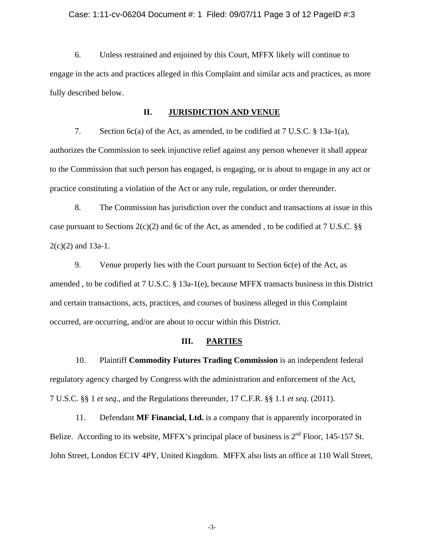### Case: 1:11-cv-06204 Document #: 1 Filed: 09/07/11 Page 3 of 12 PageID #:3

6. Unless restrained and enjoined by this Court, MFFX likely will continue to engage in the acts and practices alleged in this Complaint and similar acts and practices, as more fully described below.

### **II. JURISDICTION AND VENUE**

7. Section 6c(a) of the Act, as amended, to be codified at 7 U.S.C. § 13a-1(a), authorizes the Commission to seek injunctive relief against any person whenever it shall appear to the Commission that such person has engaged, is engaging, or is about to engage in any act or practice constituting a violation of the Act or any rule, regulation, or order thereunder.

8. The Commission has jurisdiction over the conduct and transactions at issue in this case pursuant to Sections  $2(c)(2)$  and 6c of the Act, as amended, to be codified at 7 U.S.C. §§  $2(c)(2)$  and 13a-1.

9. Venue properly lies with the Court pursuant to Section 6c(e) of the Act, as amended , to be codified at 7 U.S.C. § 13a-1(e), because MFFX transacts business in this District and certain transactions, acts, practices, and courses of business alleged in this Complaint occurred, are occurring, and/or are about to occur within this District.

## **III. PARTIES**

10. Plaintiff **Commodity Futures Trading Commission** is an independent federal regulatory agency charged by Congress with the administration and enforcement of the Act, 7 U.S.C. §§ 1 *et seq*., and the Regulations thereunder, 17 C.F.R. §§ 1.1 *et seq*. (2011).

11. Defendant **MF Financial, Ltd.** is a company that is apparently incorporated in Belize. According to its website, MFFX's principal place of business is  $2<sup>nd</sup>$  Floor, 145-157 St. John Street, London EC1V 4PY, United Kingdom. MFFX also lists an office at 110 Wall Street,

-3-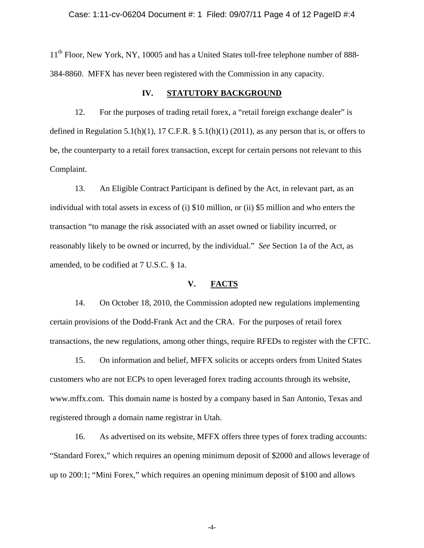### Case: 1:11-cv-06204 Document #: 1 Filed: 09/07/11 Page 4 of 12 PageID #:4

11<sup>th</sup> Floor, New York, NY, 10005 and has a United States toll-free telephone number of 888-384-8860. MFFX has never been registered with the Commission in any capacity.

### **IV. STATUTORY BACKGROUND**

12. For the purposes of trading retail forex, a "retail foreign exchange dealer" is defined in Regulation 5.1(h)(1), 17 C.F.R.  $\S$  5.1(h)(1) (2011), as any person that is, or offers to be, the counterparty to a retail forex transaction, except for certain persons not relevant to this Complaint.

13. An Eligible Contract Participant is defined by the Act, in relevant part, as an individual with total assets in excess of (i) \$10 million, or (ii) \$5 million and who enters the transaction "to manage the risk associated with an asset owned or liability incurred, or reasonably likely to be owned or incurred, by the individual." *See* Section 1a of the Act, as amended, to be codified at 7 U.S.C. § 1a.

## **V. FACTS**

14. On October 18, 2010, the Commission adopted new regulations implementing certain provisions of the Dodd-Frank Act and the CRA. For the purposes of retail forex transactions, the new regulations, among other things, require RFEDs to register with the CFTC.

15. On information and belief, MFFX solicits or accepts orders from United States customers who are not ECPs to open leveraged forex trading accounts through its website, www.mffx.com. This domain name is hosted by a company based in San Antonio, Texas and registered through a domain name registrar in Utah.

16. As advertised on its website, MFFX offers three types of forex trading accounts: "Standard Forex," which requires an opening minimum deposit of \$2000 and allows leverage of up to 200:1; "Mini Forex," which requires an opening minimum deposit of \$100 and allows

-4-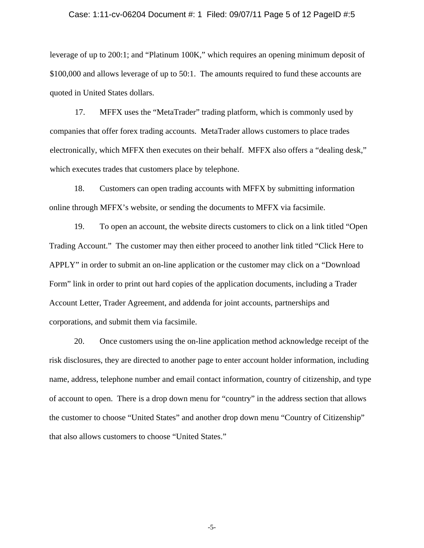#### Case: 1:11-cv-06204 Document #: 1 Filed: 09/07/11 Page 5 of 12 PageID #:5

leverage of up to 200:1; and "Platinum 100K," which requires an opening minimum deposit of \$100,000 and allows leverage of up to 50:1. The amounts required to fund these accounts are quoted in United States dollars.

17. MFFX uses the "MetaTrader" trading platform, which is commonly used by companies that offer forex trading accounts. MetaTrader allows customers to place trades electronically, which MFFX then executes on their behalf. MFFX also offers a "dealing desk," which executes trades that customers place by telephone.

18. Customers can open trading accounts with MFFX by submitting information online through MFFX's website, or sending the documents to MFFX via facsimile.

19. To open an account, the website directs customers to click on a link titled "Open Trading Account." The customer may then either proceed to another link titled "Click Here to APPLY" in order to submit an on-line application or the customer may click on a "Download Form" link in order to print out hard copies of the application documents, including a Trader Account Letter, Trader Agreement, and addenda for joint accounts, partnerships and corporations, and submit them via facsimile.

20. Once customers using the on-line application method acknowledge receipt of the risk disclosures, they are directed to another page to enter account holder information, including name, address, telephone number and email contact information, country of citizenship, and type of account to open. There is a drop down menu for "country" in the address section that allows the customer to choose "United States" and another drop down menu "Country of Citizenship" that also allows customers to choose "United States."

-5-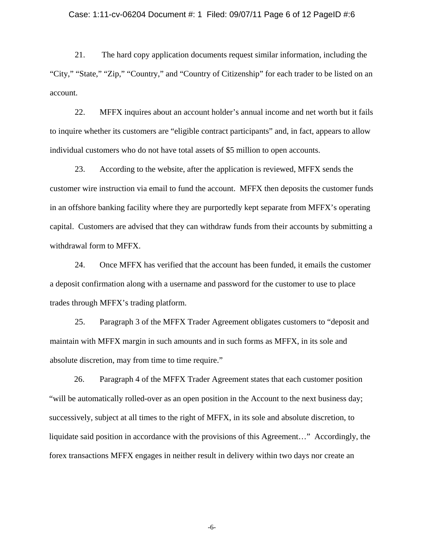### Case: 1:11-cv-06204 Document #: 1 Filed: 09/07/11 Page 6 of 12 PageID #:6

21. The hard copy application documents request similar information, including the "City," "State," "Zip," "Country," and "Country of Citizenship" for each trader to be listed on an account.

22. MFFX inquires about an account holder's annual income and net worth but it fails to inquire whether its customers are "eligible contract participants" and, in fact, appears to allow individual customers who do not have total assets of \$5 million to open accounts.

23. According to the website, after the application is reviewed, MFFX sends the customer wire instruction via email to fund the account. MFFX then deposits the customer funds in an offshore banking facility where they are purportedly kept separate from MFFX's operating capital. Customers are advised that they can withdraw funds from their accounts by submitting a withdrawal form to MFFX.

24. Once MFFX has verified that the account has been funded, it emails the customer a deposit confirmation along with a username and password for the customer to use to place trades through MFFX's trading platform.

25. Paragraph 3 of the MFFX Trader Agreement obligates customers to "deposit and maintain with MFFX margin in such amounts and in such forms as MFFX, in its sole and absolute discretion, may from time to time require."

26. Paragraph 4 of the MFFX Trader Agreement states that each customer position "will be automatically rolled-over as an open position in the Account to the next business day; successively, subject at all times to the right of MFFX, in its sole and absolute discretion, to liquidate said position in accordance with the provisions of this Agreement…" Accordingly, the forex transactions MFFX engages in neither result in delivery within two days nor create an

-6-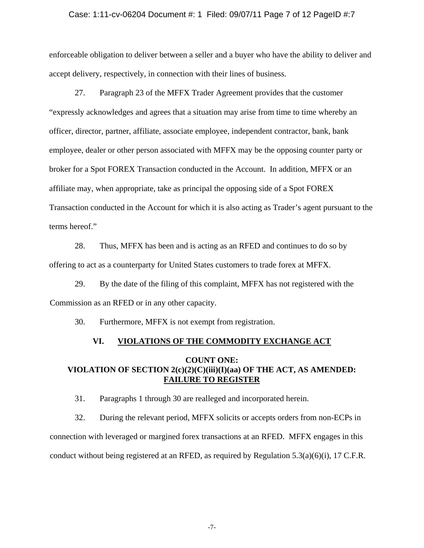### Case: 1:11-cv-06204 Document #: 1 Filed: 09/07/11 Page 7 of 12 PageID #:7

enforceable obligation to deliver between a seller and a buyer who have the ability to deliver and accept delivery, respectively, in connection with their lines of business.

27. Paragraph 23 of the MFFX Trader Agreement provides that the customer "expressly acknowledges and agrees that a situation may arise from time to time whereby an officer, director, partner, affiliate, associate employee, independent contractor, bank, bank employee, dealer or other person associated with MFFX may be the opposing counter party or broker for a Spot FOREX Transaction conducted in the Account. In addition, MFFX or an affiliate may, when appropriate, take as principal the opposing side of a Spot FOREX Transaction conducted in the Account for which it is also acting as Trader's agent pursuant to the terms hereof."

28. Thus, MFFX has been and is acting as an RFED and continues to do so by offering to act as a counterparty for United States customers to trade forex at MFFX.

29. By the date of the filing of this complaint, MFFX has not registered with the Commission as an RFED or in any other capacity.

30. Furthermore, MFFX is not exempt from registration.

# **VI. VIOLATIONS OF THE COMMODITY EXCHANGE ACT**

# **COUNT ONE: VIOLATION OF SECTION 2(c)(2)(C)(iii)(I)(aa) OF THE ACT, AS AMENDED: FAILURE TO REGISTER**

31. Paragraphs 1 through 30 are realleged and incorporated herein.

32. During the relevant period, MFFX solicits or accepts orders from non-ECPs in connection with leveraged or margined forex transactions at an RFED. MFFX engages in this conduct without being registered at an RFED, as required by Regulation  $5.3(a)(6)(i)$ , 17 C.F.R.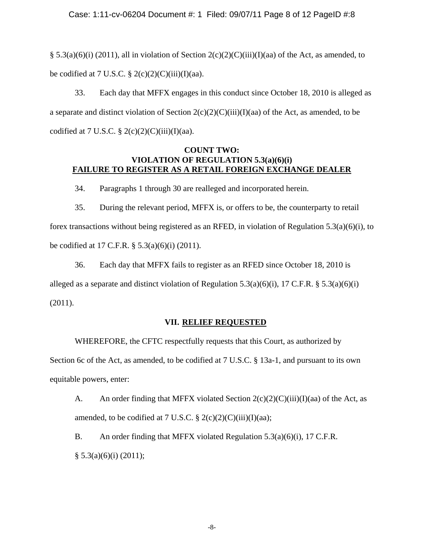## Case: 1:11-cv-06204 Document #: 1 Filed: 09/07/11 Page 8 of 12 PageID #:8

§ 5.3(a)(6)(i) (2011), all in violation of Section  $2(c)(2)(C)(iii)(I)(aa)$  of the Act, as amended, to be codified at 7 U.S.C.  $\S 2(c)(2)(C)(iii)(I)(aa)$ .

33. Each day that MFFX engages in this conduct since October 18, 2010 is alleged as a separate and distinct violation of Section  $2(c)(2)(C)(iii)(I)(aa)$  of the Act, as amended, to be codified at 7 U.S.C.  $\S 2(c)(2)(C)(iii)(I)(aa)$ .

# **COUNT TWO: VIOLATION OF REGULATION 5.3(a)(6)(i) FAILURE TO REGISTER AS A RETAIL FOREIGN EXCHANGE DEALER**

34. Paragraphs 1 through 30 are realleged and incorporated herein.

35. During the relevant period, MFFX is, or offers to be, the counterparty to retail forex transactions without being registered as an RFED, in violation of Regulation 5.3(a)(6)(i), to be codified at 17 C.F.R. § 5.3(a)(6)(i) (2011).

36. Each day that MFFX fails to register as an RFED since October 18, 2010 is alleged as a separate and distinct violation of Regulation 5.3(a)(6)(i), 17 C.F.R. § 5.3(a)(6)(i) (2011).

# **VII. RELIEF REQUESTED**

WHEREFORE, the CFTC respectfully requests that this Court, as authorized by Section 6c of the Act, as amended, to be codified at 7 U.S.C. § 13a-1, and pursuant to its own equitable powers, enter:

A. An order finding that MFFX violated Section  $2(c)(2)(C(iii)(I)(aa)$  of the Act, as amended, to be codified at 7 U.S.C.  $\S 2(c)(2)(C)(iii)(I)(aa);$ 

B. An order finding that MFFX violated Regulation 5.3(a)(6)(i), 17 C.F.R.  $§ 5.3(a)(6)(i) (2011);$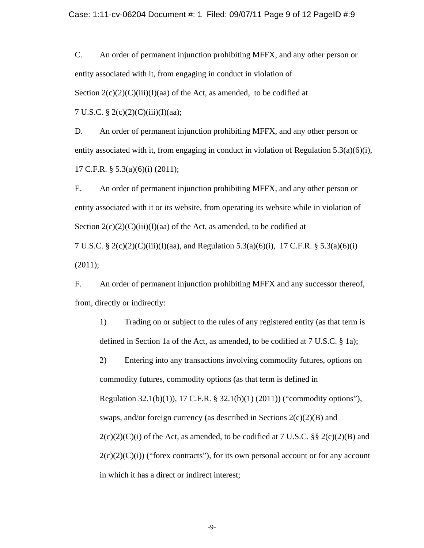C. An order of permanent injunction prohibiting MFFX, and any other person or entity associated with it, from engaging in conduct in violation of Section  $2(c)(2)(C)(iii)(I)(aa)$  of the Act, as amended, to be codified at

7 U.S.C. § 2(c)(2)(C)(iii)(I)(aa);

D. An order of permanent injunction prohibiting MFFX, and any other person or entity associated with it, from engaging in conduct in violation of Regulation 5.3(a)(6)(i), 17 C.F.R. § 5.3(a)(6)(i) (2011);

E. An order of permanent injunction prohibiting MFFX, and any other person or entity associated with it or its website, from operating its website while in violation of Section  $2(c)(2)(C)(iii)(I)(aa)$  of the Act, as amended, to be codified at

7 U.S.C. § 2(c)(2)(C)(iii)(I)(aa), and Regulation 5.3(a)(6)(i), 17 C.F.R. § 5.3(a)(6)(i) (2011);

F. An order of permanent injunction prohibiting MFFX and any successor thereof, from, directly or indirectly:

1) Trading on or subject to the rules of any registered entity (as that term is defined in Section 1a of the Act, as amended, to be codified at 7 U.S.C. § 1a);

2) Entering into any transactions involving commodity futures, options on commodity futures, commodity options (as that term is defined in Regulation 32.1(b)(1)), 17 C.F.R. § 32.1(b)(1) (2011)) ("commodity options"), swaps, and/or foreign currency (as described in Sections  $2(c)(2)(B)$  and  $2(c)(2)(C)(i)$  of the Act, as amended, to be codified at 7 U.S.C. §§  $2(c)(2)(B)$  and  $2(c)(2)(C)(i)$  ("forex contracts"), for its own personal account or for any account in which it has a direct or indirect interest;

-9-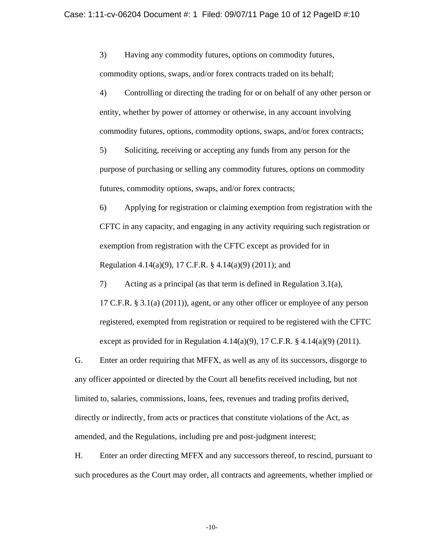3) Having any commodity futures, options on commodity futures, commodity options, swaps, and/or forex contracts traded on its behalf;

4) Controlling or directing the trading for or on behalf of any other person or entity, whether by power of attorney or otherwise, in any account involving commodity futures, options, commodity options, swaps, and/or forex contracts;

5) Soliciting, receiving or accepting any funds from any person for the purpose of purchasing or selling any commodity futures, options on commodity futures, commodity options, swaps, and/or forex contracts;

6) Applying for registration or claiming exemption from registration with the CFTC in any capacity, and engaging in any activity requiring such registration or exemption from registration with the CFTC except as provided for in Regulation 4.14(a)(9), 17 C.F.R. § 4.14(a)(9) (2011); and

7) Acting as a principal (as that term is defined in Regulation 3.1(a), 17 C.F.R. § 3.1(a) (2011)), agent, or any other officer or employee of any person registered, exempted from registration or required to be registered with the CFTC except as provided for in Regulation 4.14(a)(9), 17 C.F.R. § 4.14(a)(9) (2011).

G. Enter an order requiring that MFFX, as well as any of its successors, disgorge to any officer appointed or directed by the Court all benefits received including, but not limited to, salaries, commissions, loans, fees, revenues and trading profits derived, directly or indirectly, from acts or practices that constitute violations of the Act, as amended, and the Regulations, including pre and post-judgment interest;

H. Enter an order directing MFFX and any successors thereof, to rescind, pursuant to such procedures as the Court may order, all contracts and agreements, whether implied or

-10-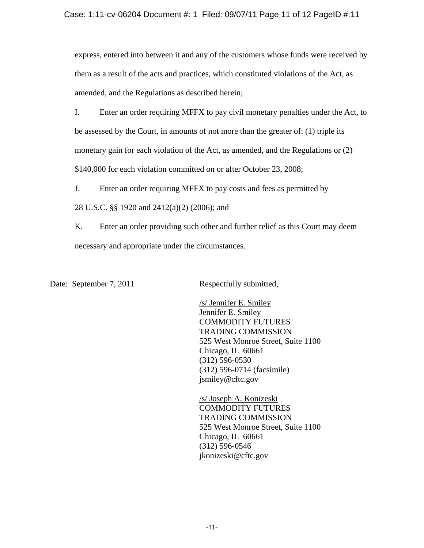express, entered into between it and any of the customers whose funds were received by them as a result of the acts and practices, which constituted violations of the Act, as amended, and the Regulations as described herein;

I. Enter an order requiring MFFX to pay civil monetary penalties under the Act, to be assessed by the Court, in amounts of not more than the greater of: (1) triple its monetary gain for each violation of the Act, as amended, and the Regulations or (2) \$140,000 for each violation committed on or after October 23, 2008;

J. Enter an order requiring MFFX to pay costs and fees as permitted by

28 U.S.C. §§ 1920 and 2412(a)(2) (2006); and

K. Enter an order providing such other and further relief as this Court may deem necessary and appropriate under the circumstances.

Date: September 7, 2011 Respectfully submitted,

 /s/ Jennifer E. Smiley Jennifer E. Smiley COMMODITY FUTURES TRADING COMMISSION 525 West Monroe Street, Suite 1100 Chicago, IL 60661 (312) 596-0530 (312) 596-0714 (facsimile) jsmiley@cftc.gov

 /s/ Joseph A. Konizeski COMMODITY FUTURES TRADING COMMISSION 525 West Monroe Street, Suite 1100 Chicago, IL 60661 (312) 596-0546 jkonizeski@cftc.gov